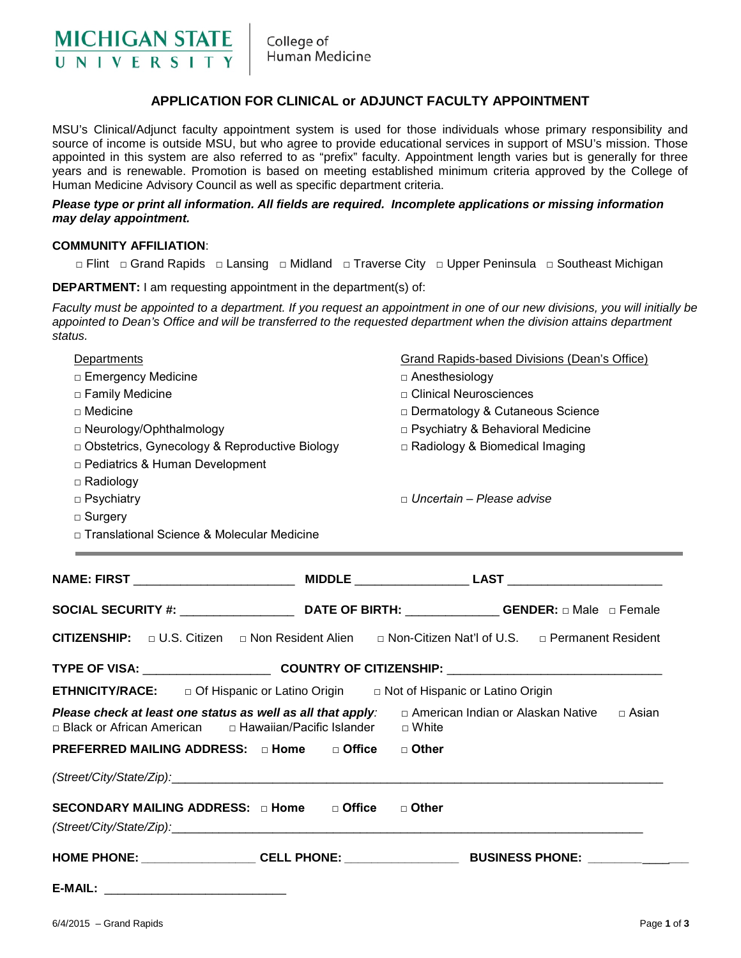

College of Human Medicine

## **APPLICATION FOR CLINICAL or ADJUNCT FACULTY APPOINTMENT**

MSU's Clinical/Adjunct faculty appointment system is used for those individuals whose primary responsibility and source of income is outside MSU, but who agree to provide educational services in support of MSU's mission. Those appointed in this system are also referred to as "prefix" faculty. Appointment length varies but is generally for three years and is renewable. Promotion is based on meeting established minimum criteria approved by the College of Human Medicine Advisory Council as well as specific department criteria.

## *Please type or print all information. All fields are required. Incomplete applications or missing information may delay appointment.*

## **COMMUNITY AFFILIATION**:

□ Flint □ Grand Rapids □ Lansing □ Midland □ Traverse City □ Upper Peninsula □ Southeast Michigan

**DEPARTMENT:** I am requesting appointment in the department(s) of:

*Faculty must be appointed to a department. If you request an appointment in one of our new divisions, you will initially be*  appointed to Dean's Office and will be transferred to the requested department when the division attains department *status.* 

| Departments<br>□ Emergency Medicine                                                      |  | <b>Grand Rapids-based Divisions (Dean's Office)</b><br>$\Box$ Anesthesiology                                       |  |  |                   |
|------------------------------------------------------------------------------------------|--|--------------------------------------------------------------------------------------------------------------------|--|--|-------------------|
|                                                                                          |  |                                                                                                                    |  |  | □ Family Medicine |
| $\square$ Medicine                                                                       |  | □ Dermatology & Cutaneous Science                                                                                  |  |  |                   |
| □ Neurology/Ophthalmology                                                                |  | □ Psychiatry & Behavioral Medicine<br>□ Radiology & Biomedical Imaging                                             |  |  |                   |
| D Obstetrics, Gynecology & Reproductive Biology                                          |  |                                                                                                                    |  |  |                   |
| □ Pediatrics & Human Development                                                         |  |                                                                                                                    |  |  |                   |
| $\Box$ Radiology                                                                         |  |                                                                                                                    |  |  |                   |
| $\Box$ Psychiatry                                                                        |  | $\Box$ Uncertain – Please advise                                                                                   |  |  |                   |
| $\Box$ Surgery                                                                           |  |                                                                                                                    |  |  |                   |
| □ Translational Science & Molecular Medicine                                             |  |                                                                                                                    |  |  |                   |
|                                                                                          |  |                                                                                                                    |  |  |                   |
|                                                                                          |  |                                                                                                                    |  |  |                   |
|                                                                                          |  |                                                                                                                    |  |  |                   |
|                                                                                          |  |                                                                                                                    |  |  |                   |
|                                                                                          |  | SOCIAL SECURITY #: _______________________________DATE OF BIRTH: ________________GENDER: $\Box$ Male $\Box$ Female |  |  |                   |
|                                                                                          |  |                                                                                                                    |  |  |                   |
| CITIZENSHIP: □ U.S. Citizen □ Non Resident Alien                                         |  | □ Non-Citizen Nat'l of U.S. □ Permanent Resident                                                                   |  |  |                   |
|                                                                                          |  |                                                                                                                    |  |  |                   |
| <b>ETHNICITY/RACE:</b> □ Of Hispanic or Latino Origin □ Not of Hispanic or Latino Origin |  |                                                                                                                    |  |  |                   |
| Please check at least one status as well as all that apply:                              |  | □ American Indian or Alaskan Native □ Asian                                                                        |  |  |                   |
|                                                                                          |  |                                                                                                                    |  |  |                   |
| PREFERRED MAILING ADDRESS: □ Home □ Office □ Other                                       |  |                                                                                                                    |  |  |                   |
|                                                                                          |  |                                                                                                                    |  |  |                   |
|                                                                                          |  |                                                                                                                    |  |  |                   |
| SECONDARY MAILING ADDRESS: $\Box$ Home $\Box$ Office $\Box$ Other                        |  |                                                                                                                    |  |  |                   |
|                                                                                          |  |                                                                                                                    |  |  |                   |
|                                                                                          |  |                                                                                                                    |  |  |                   |
|                                                                                          |  |                                                                                                                    |  |  |                   |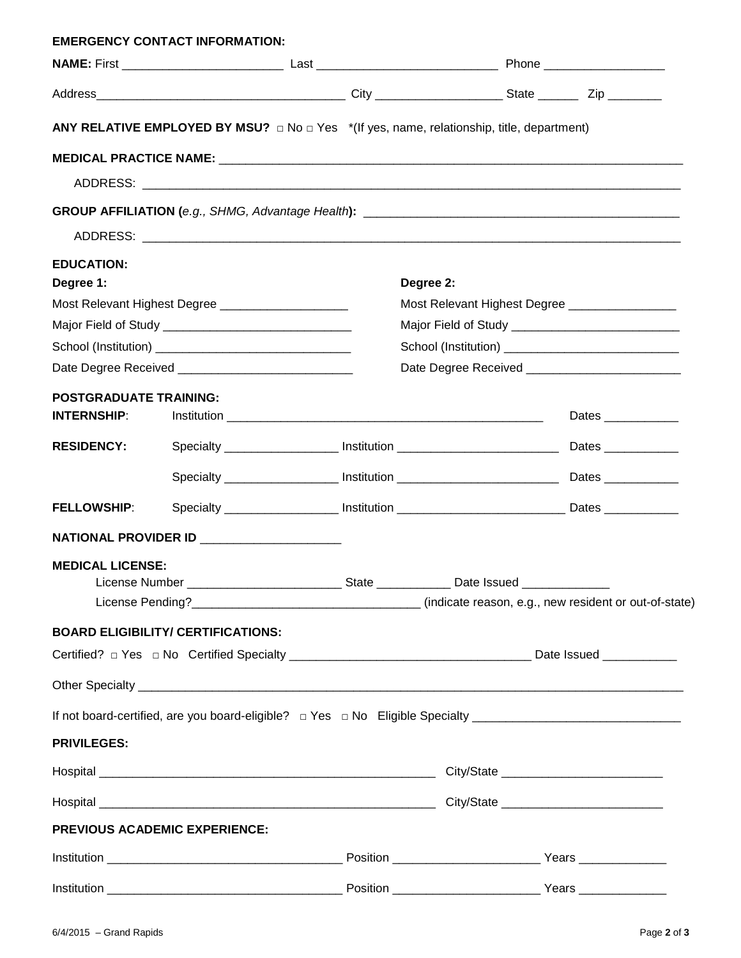|                                                      | <b>EMERGENCY CONTACT INFORMATION:</b>                                                                  |                                                                                                     |                                                 |                    |  |  |
|------------------------------------------------------|--------------------------------------------------------------------------------------------------------|-----------------------------------------------------------------------------------------------------|-------------------------------------------------|--------------------|--|--|
|                                                      |                                                                                                        |                                                                                                     |                                                 |                    |  |  |
|                                                      |                                                                                                        |                                                                                                     |                                                 |                    |  |  |
|                                                      | ANY RELATIVE EMPLOYED BY MSU? $\Box$ No $\Box$ Yes $*$ (If yes, name, relationship, title, department) |                                                                                                     |                                                 |                    |  |  |
|                                                      | MEDICAL PRACTICE NAME: NAME:                                                                           |                                                                                                     |                                                 |                    |  |  |
|                                                      |                                                                                                        |                                                                                                     |                                                 |                    |  |  |
|                                                      |                                                                                                        |                                                                                                     |                                                 |                    |  |  |
|                                                      |                                                                                                        |                                                                                                     |                                                 |                    |  |  |
| <b>EDUCATION:</b>                                    |                                                                                                        |                                                                                                     |                                                 |                    |  |  |
| Degree 1:                                            |                                                                                                        |                                                                                                     | Degree 2:                                       |                    |  |  |
| Most Relevant Highest Degree _______________________ |                                                                                                        |                                                                                                     | Most Relevant Highest Degree __________________ |                    |  |  |
|                                                      |                                                                                                        |                                                                                                     |                                                 |                    |  |  |
|                                                      |                                                                                                        |                                                                                                     |                                                 |                    |  |  |
|                                                      |                                                                                                        |                                                                                                     |                                                 |                    |  |  |
| <b>POSTGRADUATE TRAINING:</b><br><b>INTERNSHIP:</b>  |                                                                                                        |                                                                                                     |                                                 | Dates ____________ |  |  |
| <b>RESIDENCY:</b>                                    |                                                                                                        |                                                                                                     |                                                 |                    |  |  |
|                                                      |                                                                                                        |                                                                                                     |                                                 |                    |  |  |
| <b>FELLOWSHIP:</b>                                   |                                                                                                        | Specialty ______________________ Institution ___________________________________ Dates ____________ |                                                 |                    |  |  |
|                                                      | NATIONAL PROVIDER ID _____________________                                                             |                                                                                                     |                                                 |                    |  |  |
| <b>MEDICAL LICENSE:</b>                              |                                                                                                        |                                                                                                     |                                                 |                    |  |  |
|                                                      |                                                                                                        |                                                                                                     |                                                 |                    |  |  |
|                                                      | <b>BOARD ELIGIBILITY/ CERTIFICATIONS:</b>                                                              |                                                                                                     |                                                 |                    |  |  |
|                                                      |                                                                                                        |                                                                                                     |                                                 |                    |  |  |
|                                                      |                                                                                                        |                                                                                                     |                                                 |                    |  |  |
|                                                      |                                                                                                        |                                                                                                     |                                                 |                    |  |  |
| <b>PRIVILEGES:</b>                                   |                                                                                                        |                                                                                                     |                                                 |                    |  |  |
|                                                      |                                                                                                        |                                                                                                     |                                                 |                    |  |  |
|                                                      |                                                                                                        |                                                                                                     |                                                 |                    |  |  |
|                                                      | PREVIOUS ACADEMIC EXPERIENCE:                                                                          |                                                                                                     |                                                 |                    |  |  |
|                                                      |                                                                                                        |                                                                                                     |                                                 |                    |  |  |
|                                                      |                                                                                                        |                                                                                                     |                                                 |                    |  |  |